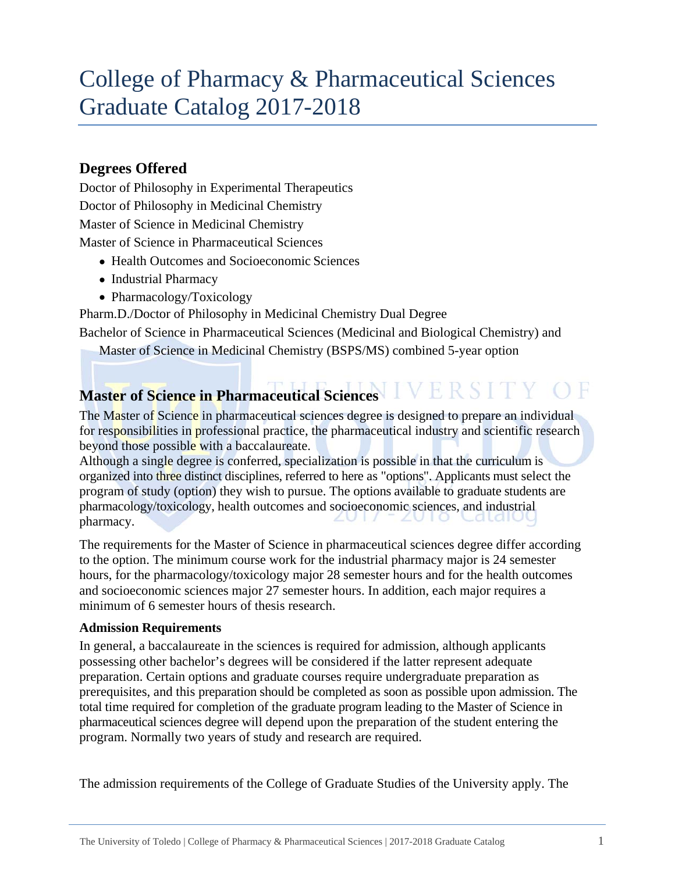# College of Pharmacy & Pharmaceutical Sciences Graduate Catalog 2017-2018

#### **Degrees Offered**

Doctor of Philosophy in Experimental Therapeutics Doctor of Philosophy in Medicinal Chemistry Master of Science in Medicinal Chemistry Master of Science in Pharmaceutical Sciences

- Health Outcomes and Socioeconomic Sciences
- Industrial Pharmacy
- Pharmacology/Toxicology

Pharm.D./Doctor of Philosophy in Medicinal Chemistry Dual Degree

Bachelor of Science in Pharmaceutical Sciences (Medicinal and Biological Chemistry) and

Master of Science in Medicinal Chemistry (BSPS/MS) combined 5-year option

## **Master of Science in Pharmaceutical Sciences**

The Master of Science in pharmaceutical sciences degree is designed to prepare an individual for responsibilities in professional practice, the pharmaceutical industry and scientific research beyond those possible with a baccalaureate.

Although a single degree is conferred, specialization is possible in that the curriculum is organized into three distinct disciplines, referred to here as "options". Applicants must select the program of study (option) they wish to pursue. The options available to graduate students are pharmacology/toxicology, health outcomes and socioeconomic sciences, and industrial pharmacy. atalut

The requirements for the Master of Science in pharmaceutical sciences degree differ according to the option. The minimum course work for the industrial pharmacy major is 24 semester hours, for the pharmacology/toxicology major 28 semester hours and for the health outcomes and socioeconomic sciences major 27 semester hours. In addition, each major requires a minimum of 6 semester hours of thesis research.

#### **Admission Requirements**

In general, a baccalaureate in the sciences is required for admission, although applicants possessing other bachelor's degrees will be considered if the latter represent adequate preparation. Certain options and graduate courses require undergraduate preparation as prerequisites, and this preparation should be completed as soon as possible upon admission. The total time required for completion of the graduate program leading to the Master of Science in pharmaceutical sciences degree will depend upon the preparation of the student entering the program. Normally two years of study and research are required.

The admission requirements of the College of Graduate Studies of the University apply. The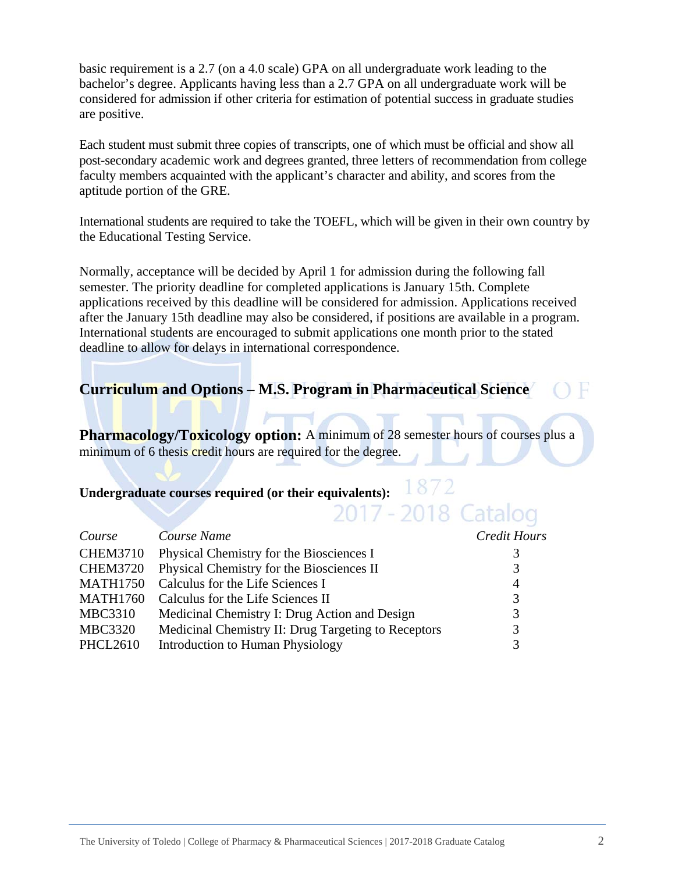basic requirement is a 2.7 (on a 4.0 scale) GPA on all undergraduate work leading to the bachelor's degree. Applicants having less than a 2.7 GPA on all undergraduate work will be considered for admission if other criteria for estimation of potential success in graduate studies are positive.

Each student must submit three copies of transcripts, one of which must be official and show all post-secondary academic work and degrees granted, three letters of recommendation from college faculty members acquainted with the applicant's character and ability, and scores from the aptitude portion of the GRE.

International students are required to take the TOEFL, which will be given in their own country by the Educational Testing Service.

Normally, acceptance will be decided by April 1 for admission during the following fall semester. The priority deadline for completed applications is January 15th. Complete applications received by this deadline will be considered for admission. Applications received after the January 15th deadline may also be considered, if positions are available in a program. International students are encouraged to submit applications one month prior to the stated deadline to allow for delays in international correspondence.

#### **Curriculum and Options – M.S. Program in Pharmaceutical Science**

**Pharmacology/Toxicology option:** A minimum of 28 semester hours of courses plus a minimum of 6 thesis credit hours are required for the degree.

# Undergraduate courses required (or their equivalents):  $\frac{1872}{2017 - 2018}$  Catalog

| Course          | Course Name                                         | Credit Hours |
|-----------------|-----------------------------------------------------|--------------|
| <b>CHEM3710</b> | Physical Chemistry for the Biosciences I            |              |
| <b>CHEM3720</b> | Physical Chemistry for the Biosciences II           | 3            |
| <b>MATH1750</b> | Calculus for the Life Sciences I                    | 4            |
| <b>MATH1760</b> | Calculus for the Life Sciences II                   | 3            |
| <b>MBC3310</b>  | Medicinal Chemistry I: Drug Action and Design       | 3            |
| <b>MBC3320</b>  | Medicinal Chemistry II: Drug Targeting to Receptors | 3            |
| <b>PHCL2610</b> | Introduction to Human Physiology                    | 3            |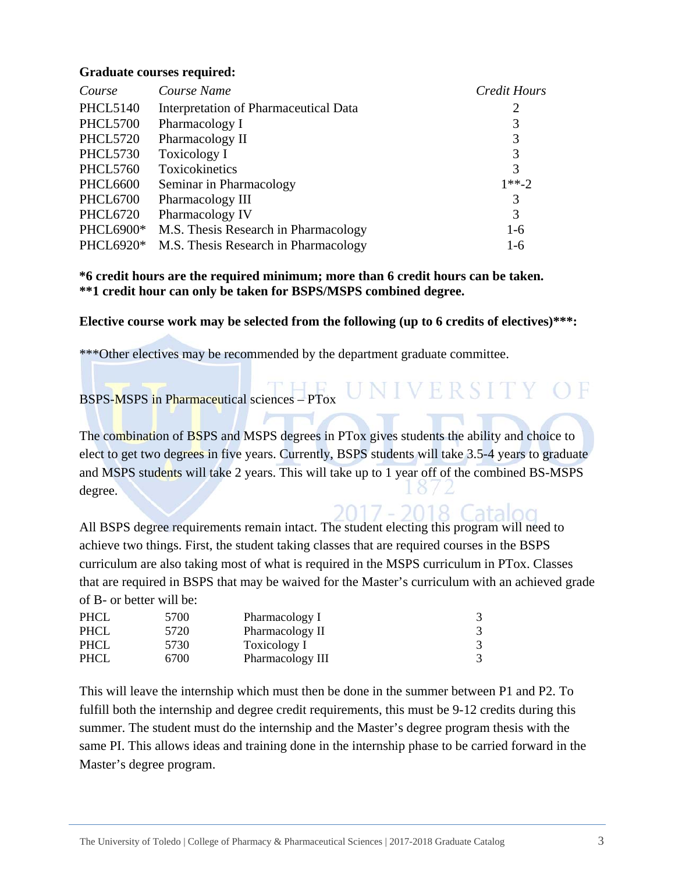#### **Graduate courses required:**

| Course          | Course Name                           | Credit Hours |
|-----------------|---------------------------------------|--------------|
| <b>PHCL5140</b> | Interpretation of Pharmaceutical Data | 2            |
| <b>PHCL5700</b> | Pharmacology I                        | 3            |
| <b>PHCL5720</b> | Pharmacology II                       | 3            |
| <b>PHCL5730</b> | Toxicology I                          | 3            |
| <b>PHCL5760</b> | Toxicokinetics                        | 3            |
| <b>PHCL6600</b> | Seminar in Pharmacology               | $1**-2$      |
| <b>PHCL6700</b> | Pharmacology III                      | 3            |
| <b>PHCL6720</b> | Pharmacology IV                       | 3            |
| PHCL6900*       | M.S. Thesis Research in Pharmacology  | $1-6$        |
| PHCL6920*       | M.S. Thesis Research in Pharmacology  | $1-6$        |

**\*6 credit hours are the required minimum; more than 6 credit hours can be taken. \*\*1 credit hour can only be taken for BSPS/MSPS combined degree.** 

#### Elective course work may be selected from the following (up to 6 credits of electives)\*\*\*:

\*\*\*Other electives may be recommended by the department graduate committee.

BSPS-MSPS in Pharmaceutical sciences – PTox

The combination of BSPS and MSPS degrees in PTox gives students the ability and choice to elect to get two degrees in five years. Currently, BSPS students will take 3.5-4 years to graduate and MSPS students will take 2 years. This will take up to 1 year off of the combined BS-MSPS degree.

NIVERSITY OF

All BSPS degree requirements remain intact. The student electing this program will need to achieve two things. First, the student taking classes that are required courses in the BSPS curriculum are also taking most of what is required in the MSPS curriculum in PTox. Classes that are required in BSPS that may be waived for the Master's curriculum with an achieved grade of B- or better will be:

| <b>PHCL</b> | 5700 | Pharmacology I   |  |
|-------------|------|------------------|--|
| <b>PHCL</b> | 5720 | Pharmacology II  |  |
| <b>PHCL</b> | 5730 | Toxicology I     |  |
| <b>PHCL</b> | 6700 | Pharmacology III |  |

This will leave the internship which must then be done in the summer between P1 and P2. To fulfill both the internship and degree credit requirements, this must be 9-12 credits during this summer. The student must do the internship and the Master's degree program thesis with the same PI. This allows ideas and training done in the internship phase to be carried forward in the Master's degree program.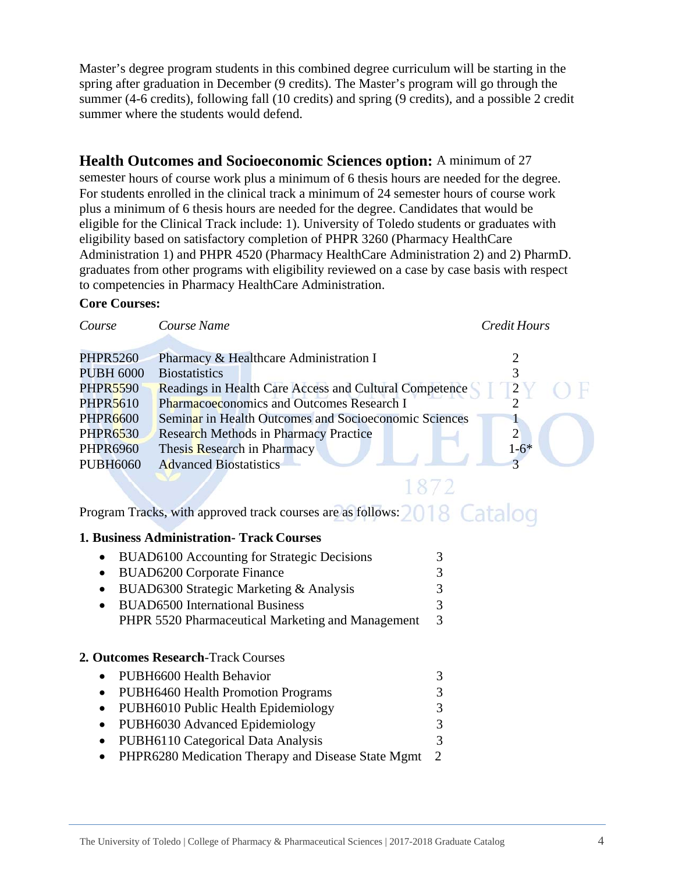Master's degree program students in this combined degree curriculum will be starting in the spring after graduation in December (9 credits). The Master's program will go through the summer (4-6 credits), following fall (10 credits) and spring (9 credits), and a possible 2 credit summer where the students would defend.

#### **Health Outcomes and Socioeconomic Sciences option:** A minimum of 27

semester hours of course work plus a minimum of 6 thesis hours are needed for the degree. For students enrolled in the clinical track a minimum of 24 semester hours of course work plus a minimum of 6 thesis hours are needed for the degree. Candidates that would be eligible for the Clinical Track include: 1). University of Toledo students or graduates with eligibility based on satisfactory completion of PHPR 3260 (Pharmacy HealthCare Administration 1) and PHPR 4520 (Pharmacy HealthCare Administration 2) and 2) PharmD. graduates from other programs with eligibility reviewed on a case by case basis with respect to competencies in Pharmacy HealthCare Administration.

#### **Core Courses:**

| Course           | Course Name                                            | Credit Hours    |
|------------------|--------------------------------------------------------|-----------------|
|                  |                                                        |                 |
| <b>PHPR5260</b>  | Pharmacy & Healthcare Administration I                 |                 |
| <b>PUBH 6000</b> | <b>Biostatistics</b>                                   |                 |
| <b>PHPR5590</b>  | Readings in Health Care Access and Cultural Competence |                 |
| <b>PHPR5610</b>  | Pharmacoeconomics and Outcomes Research I              |                 |
| <b>PHPR6600</b>  | Seminar in Health Outcomes and Socioeconomic Sciences  |                 |
| <b>PHPR6530</b>  | <b>Research Methods in Pharmacy Practice</b>           |                 |
| <b>PHPR6960</b>  | Thesis Research in Pharmacy                            | $\frac{1-6}{2}$ |
| <b>PUBH6060</b>  | <b>Advanced Biostatistics</b>                          |                 |
|                  |                                                        |                 |

Program Tracks, with approved track courses are as follows: 2018 Catalog

#### **1. Business Administration- Track Courses**

|           | • BUAD6100 Accounting for Strategic Decisions     | 3             |
|-----------|---------------------------------------------------|---------------|
|           | • BUAD6200 Corporate Finance                      | 3             |
|           | • BUAD6300 Strategic Marketing $&$ Analysis       | 3.            |
| $\bullet$ | <b>BUAD6500</b> International Business            |               |
|           | PHPR 5520 Pharmaceutical Marketing and Management | $\mathcal{R}$ |
|           |                                                   |               |

#### **2. Outcomes Research**-Track Courses

| • PUBH6600 Health Behavior            | 3 |
|---------------------------------------|---|
| • PUBH6460 Health Promotion Programs  | 3 |
| • PUBH6010 Public Health Epidemiology | 3 |
| • PUBH6030 Advanced Epidemiology      | 3 |
| • PUBH6110 Categorical Data Analysis  | 3 |
|                                       |   |

• PHPR6280 Medication Therapy and Disease State Mgmt 2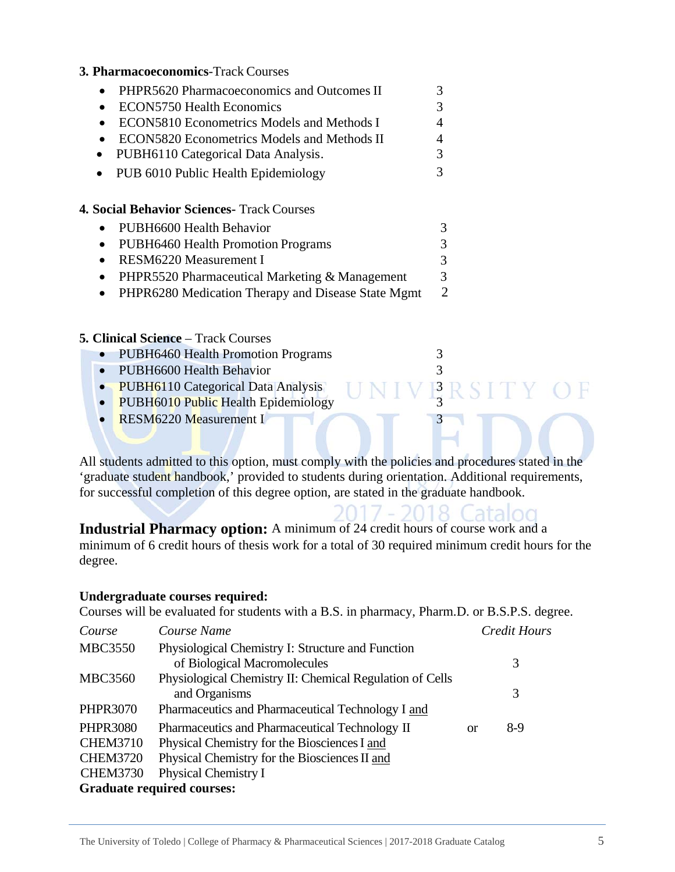#### **3. Pharmacoeconomics**-Track Courses

- PHPR5620 Pharmacoeconomics and Outcomes II 3
- ECON5750 Health Economics 3
- ECON5810 Econometrics Models and Methods I 4
- ECON5820 Econometrics Models and Methods II 4
- PUBH6110 Categorical Data Analysis. 3
- PUB 6010 Public Health Epidemiology 3

#### **4. Social Behavior Sciences-** Track Courses

- PUBH6600 Health Behavior 3 • PUBH6460 Health Promotion Programs 3 • RESM6220 Measurement I 3
- PHPR5520 Pharmaceutical Marketing & Management 3
- PHPR6280 Medication Therapy and Disease State Mgmt 2

#### **5. Clinical Science** – Track Courses

- PUBH6460 Health Promotion Programs 3
- PUBH6600 Health Behavior 3
- PUBH6110 Categorical Data Analysis  $\bigcup_{3} N I V 3 R S$
- PUBH6010 Public Health Epidemiology
- RESM6220 Measurement I 3

All students admitted to this option, must comply with the policies and procedures stated in the 'graduate student handbook,' provided to students during orientation. Additional requirements, for successful completion of this degree option, are stated in the graduate handbook.

**Industrial Pharmacy option:** A minimum of 24 credit hours of course work and a minimum of 6 credit hours of thesis work for a total of 30 required minimum credit hours for the degree.

#### **Undergraduate courses required:**

Courses will be evaluated for students with a B.S. in pharmacy, Pharm.D. or B.S.P.S. degree.

| Course                            | Course Name                                              |               | Credit Hours |  |
|-----------------------------------|----------------------------------------------------------|---------------|--------------|--|
| <b>MBC3550</b>                    | Physiological Chemistry I: Structure and Function        |               |              |  |
|                                   | of Biological Macromolecules                             |               | 3            |  |
| <b>MBC3560</b>                    | Physiological Chemistry II: Chemical Regulation of Cells |               |              |  |
|                                   | and Organisms                                            |               | 3            |  |
| <b>PHPR3070</b>                   | Pharmaceutics and Pharmaceutical Technology I and        |               |              |  |
| <b>PHPR3080</b>                   | Pharmaceutics and Pharmaceutical Technology II           | <sub>or</sub> | 8-9          |  |
| <b>CHEM3710</b>                   | Physical Chemistry for the Biosciences I and             |               |              |  |
| <b>CHEM3720</b>                   | Physical Chemistry for the Biosciences II and            |               |              |  |
| <b>CHEM3730</b>                   | Physical Chemistry I                                     |               |              |  |
| <b>Graduate required courses:</b> |                                                          |               |              |  |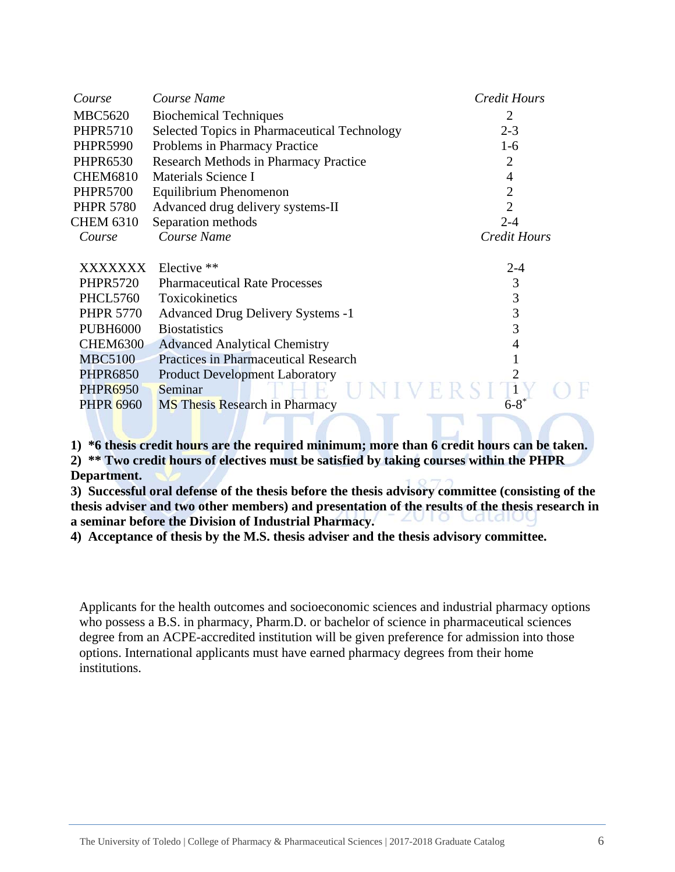| Course           | Course Name                                  | Credit Hours        |
|------------------|----------------------------------------------|---------------------|
| <b>MBC5620</b>   | <b>Biochemical Techniques</b>                | $\overline{2}$      |
| <b>PHPR5710</b>  | Selected Topics in Pharmaceutical Technology | $2 - 3$             |
| <b>PHPR5990</b>  | Problems in Pharmacy Practice                | $1-6$               |
| <b>PHPR6530</b>  | Research Methods in Pharmacy Practice        | $\overline{2}$      |
| <b>CHEM6810</b>  | Materials Science I                          | 4                   |
| <b>PHPR5700</b>  | Equilibrium Phenomenon                       | $\overline{2}$      |
| <b>PHPR 5780</b> | Advanced drug delivery systems-II            | $\overline{2}$      |
| <b>CHEM 6310</b> | Separation methods                           | $2 - 4$             |
| Course           | Course Name                                  | <b>Credit Hours</b> |
| XXXXXXX          | Elective $**$                                | $2 - 4$             |
| <b>PHPR5720</b>  | <b>Pharmaceutical Rate Processes</b>         | 3                   |
| <b>PHCL5760</b>  | Toxicokinetics                               | 3                   |
| <b>PHPR 5770</b> | <b>Advanced Drug Delivery Systems -1</b>     | 3                   |
| <b>PUBH6000</b>  | <b>Biostatistics</b>                         | 3                   |
| <b>CHEM6300</b>  | <b>Advanced Analytical Chemistry</b>         | 4                   |
| <b>MBC5100</b>   | <b>Practices in Pharmaceutical Research</b>  |                     |
| <b>PHPR6850</b>  | <b>Product Development Laboratory</b>        | 2                   |
| <b>PHPR6950</b>  | Seminar                                      |                     |
| <b>PHPR 6960</b> | <b>MS</b> Thesis Research in Pharmacy        | $6 - 8^*$           |
|                  |                                              |                     |

**1) \*6 thesis credit hours are the required minimum; more than 6 credit hours can be taken. 2) \*\* Two credit hours of electives must be satisfied by taking courses within the PHPR Department.** 

**3) Successful oral defense of the thesis before the thesis advisory committee (consisting of the thesis adviser and two other members) and presentation of the results of the thesis research in a seminar before the Division of Industrial Pharmacy.** 

**4) Acceptance of thesis by the M.S. thesis adviser and the thesis advisory committee.** 

Applicants for the health outcomes and socioeconomic sciences and industrial pharmacy options who possess a B.S. in pharmacy, Pharm.D. or bachelor of science in pharmaceutical sciences degree from an ACPE-accredited institution will be given preference for admission into those options. International applicants must have earned pharmacy degrees from their home institutions.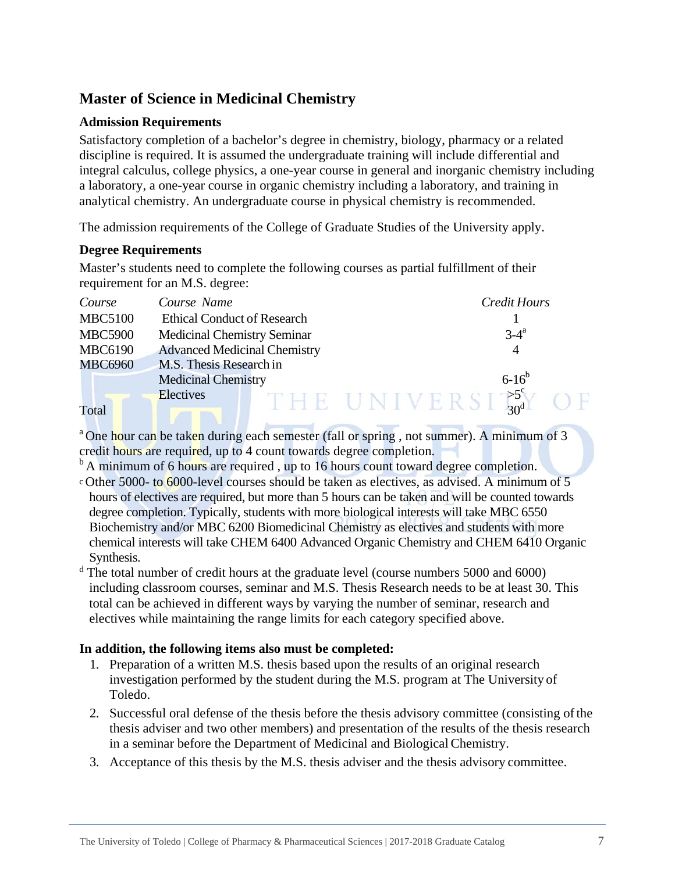### **Master of Science in Medicinal Chemistry**

#### **Admission Requirements**

Satisfactory completion of a bachelor's degree in chemistry, biology, pharmacy or a related discipline is required. It is assumed the undergraduate training will include differential and integral calculus, college physics, a one-year course in general and inorganic chemistry including a laboratory, a one-year course in organic chemistry including a laboratory, and training in analytical chemistry. An undergraduate course in physical chemistry is recommended.

The admission requirements of the College of Graduate Studies of the University apply.

#### **Degree Requirements**

Master's students need to complete the following courses as partial fulfillment of their requirement for an M.S. degree:

| Course         | Course Name                         | Credit Hours                  |
|----------------|-------------------------------------|-------------------------------|
| <b>MBC5100</b> | <b>Ethical Conduct of Research</b>  |                               |
| <b>MBC5900</b> | <b>Medicinal Chemistry Seminar</b>  | $3 - 4^a$                     |
| <b>MBC6190</b> | <b>Advanced Medicinal Chemistry</b> | $\overline{A}$                |
| <b>MBC6960</b> | M.S. Thesis Research in             |                               |
|                | <b>Medicinal Chemistry</b>          | $6 - 16^{b}$                  |
|                | <b>Electives</b>                    | THE UNIVERSI <sup>25</sup> OF |
| Total          |                                     |                               |

<sup>a</sup> One hour can be taken during each semester (fall or spring, not summer). A minimum of 3 credit hours are required, up to 4 count towards degree completion.

 $<sup>b</sup>$  A minimum of 6 hours are required, up to 16 hours count toward degree completion.</sup>

c Other 5000- to 6000-level courses should be taken as electives, as advised. A minimum of 5 hours of electives are required, but more than 5 hours can be taken and will be counted towards degree completion. Typically, students with more biological interests will take MBC 6550 Biochemistry and/or MBC 6200 Biomedicinal Chemistry as electives and students with more chemical interests will take CHEM 6400 Advanced Organic Chemistry and CHEM 6410 Organic Synthesis.

<sup>d</sup> The total number of credit hours at the graduate level (course numbers 5000 and 6000) including classroom courses, seminar and M.S. Thesis Research needs to be at least 30. This total can be achieved in different ways by varying the number of seminar, research and electives while maintaining the range limits for each category specified above.

#### **In addition, the following items also must be completed:**

- 1. Preparation of a written M.S. thesis based upon the results of an original research investigation performed by the student during the M.S. program at The University of Toledo.
- 2. Successful oral defense of the thesis before the thesis advisory committee (consisting of the thesis adviser and two other members) and presentation of the results of the thesis research in a seminar before the Department of Medicinal and Biological Chemistry.
- 3. Acceptance of this thesis by the M.S. thesis adviser and the thesis advisory committee.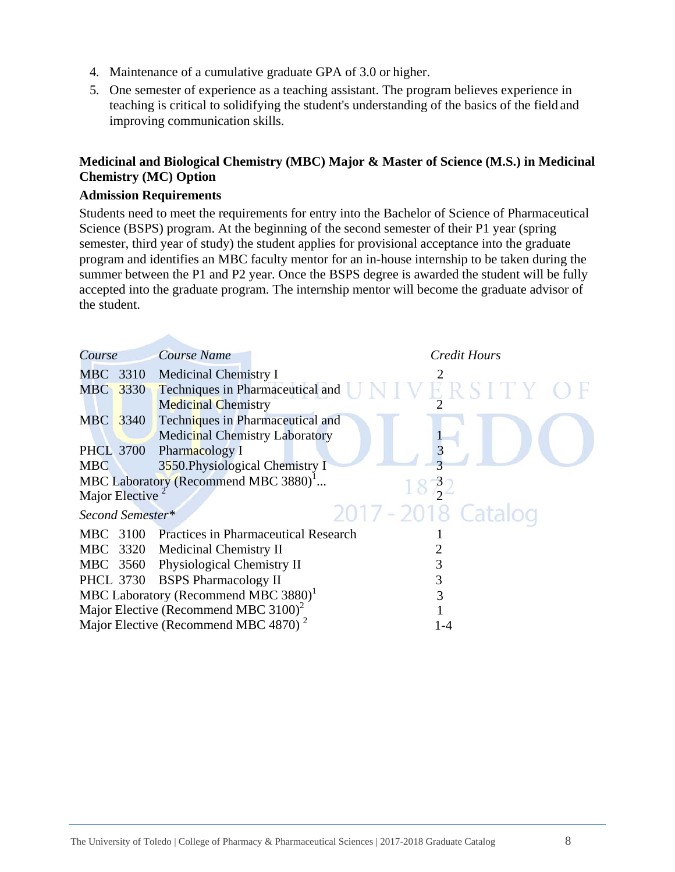- 4. Maintenance of a cumulative graduate GPA of 3.0 or higher.
- 5. One semester of experience as a teaching assistant. The program believes experience in teaching is critical to solidifying the student's understanding of the basics of the field and improving communication skills.

#### **Medicinal and Biological Chemistry (MBC) Major & Master of Science (M.S.) in Medicinal Chemistry (MC) Option**

#### **Admission Requirements**

**TAX** 

Students need to meet the requirements for entry into the Bachelor of Science of Pharmaceutical Science (BSPS) program. At the beginning of the second semester of their P1 year (spring semester, third year of study) the student applies for provisional acceptance into the graduate program and identifies an MBC faculty mentor for an in-house internship to be taken during the summer between the P1 and P2 year. Once the BSPS degree is awarded the student will be fully accepted into the graduate program. The internship mentor will become the graduate advisor of the student.

| Course           |                       | Course Name                                      |  | <b>Credit Hours</b> |  |
|------------------|-----------------------|--------------------------------------------------|--|---------------------|--|
| MBC 3310         |                       | <b>Medicinal Chemistry I</b>                     |  |                     |  |
| MBC 3330         |                       | Techniques in Pharmaceutical and                 |  |                     |  |
|                  |                       | <b>Medicinal Chemistry</b>                       |  |                     |  |
| MBC 3340         |                       | Techniques in Pharmaceutical and                 |  |                     |  |
|                  |                       | <b>Medicinal Chemistry Laboratory</b>            |  |                     |  |
|                  | <b>PHCL 3700</b>      | Pharmacology I                                   |  | $\overline{3}$      |  |
| <b>MBC</b>       |                       | 3550. Physiological Chemistry I                  |  |                     |  |
|                  |                       | MBC Laboratory (Recommend MBC 3880) <sup>1</sup> |  |                     |  |
|                  | <b>Major Elective</b> |                                                  |  |                     |  |
|                  | Second Semester*      |                                                  |  | 2017 - 2018 Catalog |  |
|                  |                       | MBC 3100 Practices in Pharmaceutical Research    |  |                     |  |
|                  |                       | MBC 3320 Medicinal Chemistry II                  |  |                     |  |
|                  | MBC 3560              | Physiological Chemistry II                       |  | 3                   |  |
| <b>PHCL 3730</b> |                       | <b>BSPS</b> Pharmacology II                      |  | 3                   |  |
|                  |                       | MBC Laboratory (Recommend MBC 3880) <sup>1</sup> |  | 3                   |  |
|                  |                       | Major Elective (Recommend MBC 3100) <sup>2</sup> |  |                     |  |
|                  |                       | Major Elective (Recommend MBC 4870) <sup>2</sup> |  | $1 - 4$             |  |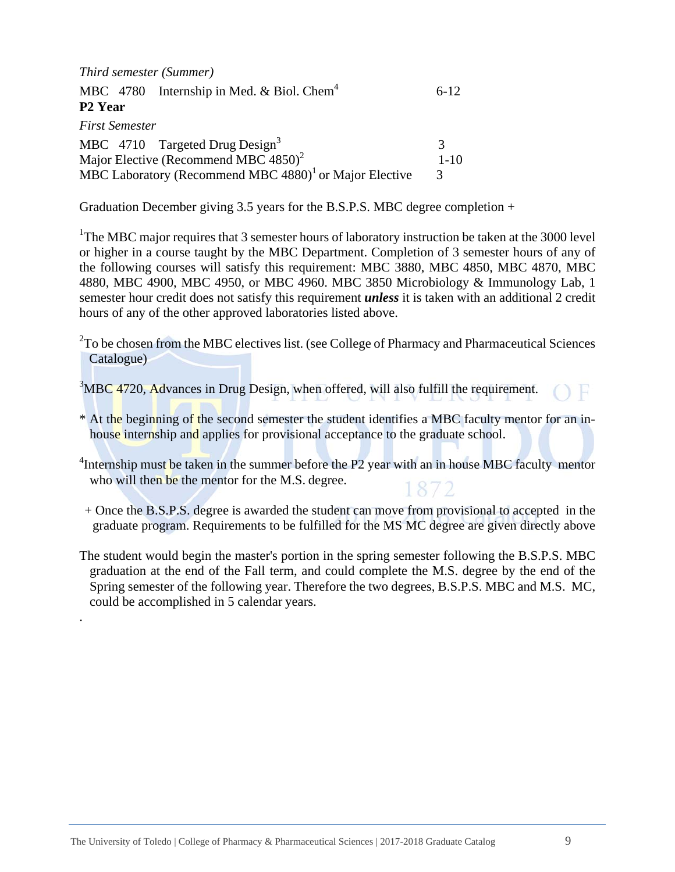| Third semester (Summer)                                                                        |               |
|------------------------------------------------------------------------------------------------|---------------|
| MBC $4780$ Internship in Med. & Biol. Chem <sup>4</sup>                                        | $6-12$        |
| P <sub>2</sub> Year                                                                            |               |
| <b>First Semester</b>                                                                          |               |
| MBC 4710 Targeted Drug Design <sup>3</sup><br>Major Elective (Recommend MBC 4850) <sup>2</sup> | $\mathcal{R}$ |
|                                                                                                | $1 - 10$      |
| MBC Laboratory (Recommend MBC 4880) <sup>1</sup> or Major Elective                             | $\mathcal{R}$ |
|                                                                                                |               |

Graduation December giving 3.5 years for the B.S.P.S. MBC degree completion  $+$ 

<sup>1</sup>The MBC major requires that 3 semester hours of laboratory instruction be taken at the 3000 level or higher in a course taught by the MBC Department. Completion of 3 semester hours of any of the following courses will satisfy this requirement: MBC 3880, MBC 4850, MBC 4870, MBC 4880, MBC 4900, MBC 4950, or MBC 4960. MBC 3850 Microbiology & Immunology Lab, 1 semester hour credit does not satisfy this requirement *unless* it is taken with an additional 2 credit hours of any of the other approved laboratories listed above.

 $2^2$ To be chosen from the MBC electives list. (see College of Pharmacy and Pharmaceutical Sciences Catalogue)

 $3$ MBC 4720, Advances in Drug Design, when offered, will also fulfill the requirement. ΤF

- \* At the beginning of the second semester the student identifies a MBC faculty mentor for an inhouse internship and applies for provisional acceptance to the graduate school.
- <sup>4</sup>Internship must be taken in the summer before the P2 year with an in house MBC faculty mentor who will then be the mentor for the M.S. degree.
- + Once the B.S.P.S. degree is awarded the student can move from provisional to accepted in the graduate program. Requirements to be fulfilled for the MS MC degree are given directly above
- The student would begin the master's portion in the spring semester following the B.S.P.S. MBC graduation at the end of the Fall term, and could complete the M.S. degree by the end of the Spring semester of the following year. Therefore the two degrees, B.S.P.S. MBC and M.S. MC, could be accomplished in 5 calendar years.

.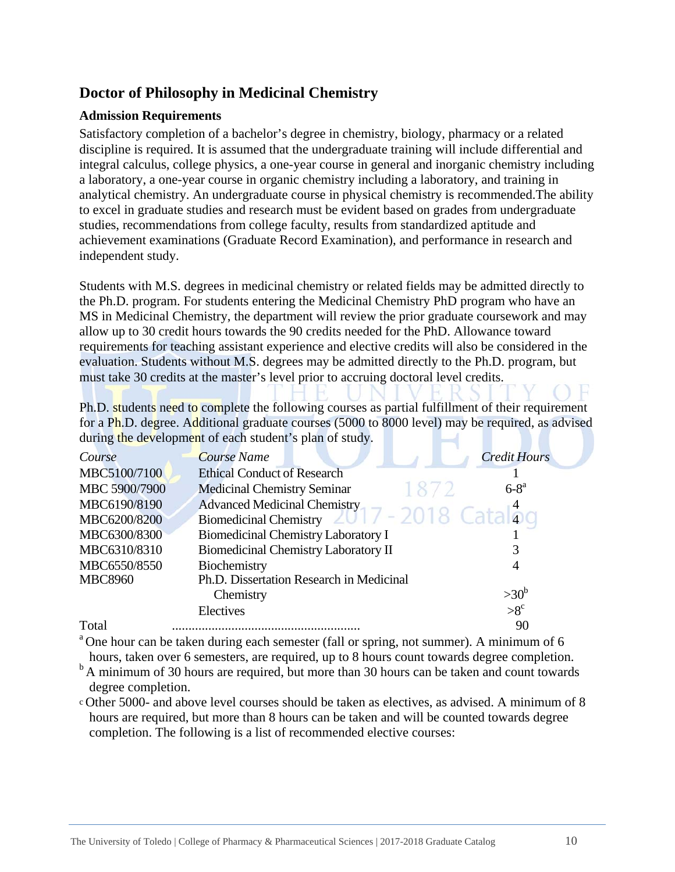#### **Doctor of Philosophy in Medicinal Chemistry**

#### **Admission Requirements**

Satisfactory completion of a bachelor's degree in chemistry, biology, pharmacy or a related discipline is required. It is assumed that the undergraduate training will include differential and integral calculus, college physics, a one-year course in general and inorganic chemistry including a laboratory, a one-year course in organic chemistry including a laboratory, and training in analytical chemistry. An undergraduate course in physical chemistry is recommended.The ability to excel in graduate studies and research must be evident based on grades from undergraduate studies, recommendations from college faculty, results from standardized aptitude and achievement examinations (Graduate Record Examination), and performance in research and independent study.

Students with M.S. degrees in medicinal chemistry or related fields may be admitted directly to the Ph.D. program. For students entering the Medicinal Chemistry PhD program who have an MS in Medicinal Chemistry, the department will review the prior graduate coursework and may allow up to 30 credit hours towards the 90 credits needed for the PhD. Allowance toward requirements for teaching assistant experience and elective credits will also be considered in the evaluation. Students without M.S. degrees may be admitted directly to the Ph.D. program, but must take 30 credits at the master's level prior to accruing doctoral level credits.

Ph.D. students need to complete the following courses as partial fulfillment of their requirement for a Ph.D. degree. Additional graduate courses (5000 to 8000 level) may be required, as advised during the development of each student's plan of study.

| Course         | <b>Course Name</b>                                           | <b>Credit Hours</b> |
|----------------|--------------------------------------------------------------|---------------------|
| MBC5100/7100   | <b>Ethical Conduct of Research</b>                           |                     |
| MBC 5900/7900  | 1872<br><b>Medicinal Chemistry Seminar</b>                   | $6-8^a$             |
| MBC6190/8190   | <b>Advanced Medicinal Chemistry</b>                          |                     |
| MBC6200/8200   | $2018$ Catal <sub>2</sub> q<br><b>Biomedicinal Chemistry</b> |                     |
| MBC6300/8300   | <b>Biomedicinal Chemistry Laboratory I</b>                   |                     |
| MBC6310/8310   | Biomedicinal Chemistry Laboratory II                         |                     |
| MBC6550/8550   | Biochemistry                                                 |                     |
| <b>MBC8960</b> | Ph.D. Dissertation Research in Medicinal                     |                     |
|                | Chemistry                                                    | $>30^b$             |
|                | Electives                                                    | $>8^{\circ}$        |
| Total          |                                                              | 90                  |

<sup>a</sup> One hour can be taken during each semester (fall or spring, not summer). A minimum of 6

hours, taken over 6 semesters, are required, up to 8 hours count towards degree completion.

- $<sup>b</sup>$  A minimum of 30 hours are required, but more than 30 hours can be taken and count towards</sup> degree completion.
- c Other 5000- and above level courses should be taken as electives, as advised. A minimum of 8 hours are required, but more than 8 hours can be taken and will be counted towards degree completion. The following is a list of recommended elective courses: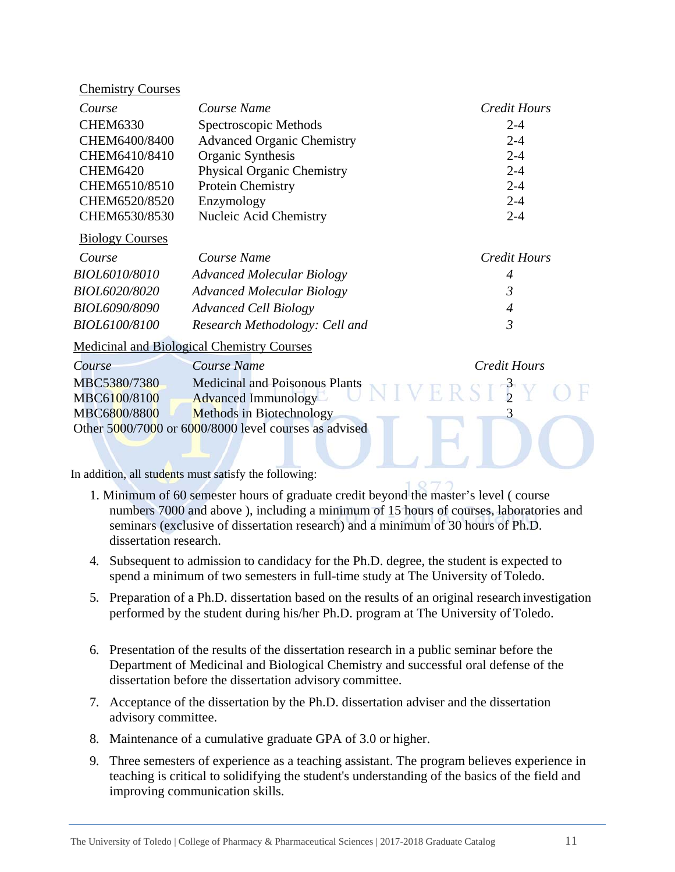#### Chemistry Courses

| Course          | Course Name                       | <b>Credit Hours</b> |
|-----------------|-----------------------------------|---------------------|
| <b>CHEM6330</b> | Spectroscopic Methods             | $2 - 4$             |
| CHEM6400/8400   | <b>Advanced Organic Chemistry</b> | $2 - 4$             |
| CHEM6410/8410   | Organic Synthesis                 | $2 - 4$             |
| <b>CHEM6420</b> | <b>Physical Organic Chemistry</b> | $2 - 4$             |
| CHEM6510/8510   | Protein Chemistry                 | $2 - 4$             |
| CHEM6520/8520   | Enzymology                        | $2 - 4$             |
| CHEM6530/8530   | Nucleic Acid Chemistry            | $2 - 4$             |

#### Biology Courses

| Course               | Course Name                       | Credit Hours |
|----------------------|-----------------------------------|--------------|
| BIOL6010/8010        | <b>Advanced Molecular Biology</b> | 4            |
| <i>BIOL6020/8020</i> | <b>Advanced Molecular Biology</b> | 3            |
| <i>BIOL6090/8090</i> | <b>Advanced Cell Biology</b>      | 4            |
| BIOL6100/8100        | Research Methodology: Cell and    | 3            |

#### Medicinal and Biological Chemistry Courses

| Course       | <b>Course Name</b>                                        | Credit Hours                     |  |
|--------------|-----------------------------------------------------------|----------------------------------|--|
| MBC5380/7380 | <b>Medicinal and Poisonous Plants</b>                     | riants NIVERSI <sup>3</sup> Y OF |  |
| MBC6100/8100 | <b>Advanced Immunology</b>                                |                                  |  |
| MBC6800/8800 | Methods in Biotechnology                                  |                                  |  |
|              | Other $5000/7000$ or $6000/8000$ level courses as advised |                                  |  |

In addition, all students must satisfy the following:

1. Minimum of 60 semester hours of graduate credit beyond the master's level ( course numbers 7000 and above ), including a minimum of 15 hours of courses, laboratories and seminars (exclusive of dissertation research) and a minimum of 30 hours of Ph.D. dissertation research.

**IGETU** 

- 4. Subsequent to admission to candidacy for the Ph.D. degree, the student is expected to spend a minimum of two semesters in full-time study at The University of Toledo.
- 5. Preparation of a Ph.D. dissertation based on the results of an original research investigation performed by the student during his/her Ph.D. program at The University of Toledo.
- 6. Presentation of the results of the dissertation research in a public seminar before the Department of Medicinal and Biological Chemistry and successful oral defense of the dissertation before the dissertation advisory committee.
- 7. Acceptance of the dissertation by the Ph.D. dissertation adviser and the dissertation advisory committee.
- 8. Maintenance of a cumulative graduate GPA of 3.0 or higher.
- 9. Three semesters of experience as a teaching assistant. The program believes experience in teaching is critical to solidifying the student's understanding of the basics of the field and improving communication skills.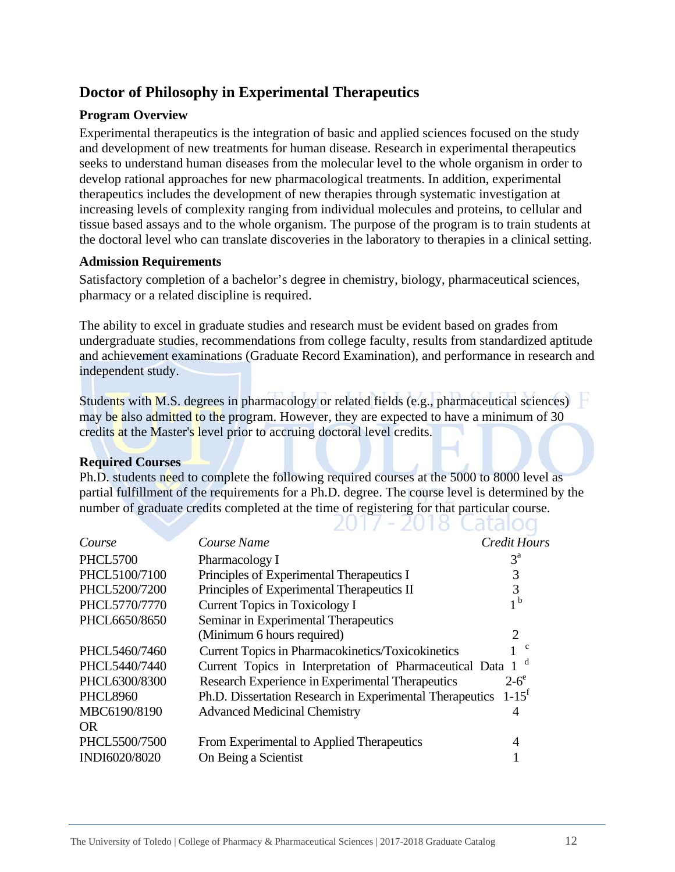#### **Doctor of Philosophy in Experimental Therapeutics**

#### **Program Overview**

Experimental therapeutics is the integration of basic and applied sciences focused on the study and development of new treatments for human disease. Research in experimental therapeutics seeks to understand human diseases from the molecular level to the whole organism in order to develop rational approaches for new pharmacological treatments. In addition, experimental therapeutics includes the development of new therapies through systematic investigation at increasing levels of complexity ranging from individual molecules and proteins, to cellular and tissue based assays and to the whole organism. The purpose of the program is to train students at the doctoral level who can translate discoveries in the laboratory to therapies in a clinical setting.

#### **Admission Requirements**

Satisfactory completion of a bachelor's degree in chemistry, biology, pharmaceutical sciences, pharmacy or a related discipline is required.

The ability to excel in graduate studies and research must be evident based on grades from undergraduate studies, recommendations from college faculty, results from standardized aptitude and achievement examinations (Graduate Record Examination), and performance in research and independent study.

Students with M.S. degrees in pharmacology or related fields (e.g., pharmaceutical sciences) may be also admitted to the program. However, they are expected to have a minimum of 30 credits at the Master's level prior to accruing doctoral level credits.

#### **Required Courses**

Ph.D. students need to complete the following required courses at the 5000 to 8000 level as partial fulfillment of the requirements for a Ph.D. degree. The course level is determined by the number of graduate credits completed at the time of registering for that particular course.

|                 | LVIV NU                                                   |                             |
|-----------------|-----------------------------------------------------------|-----------------------------|
| Course          | Course Name                                               | <b>Credit Hours</b>         |
| <b>PHCL5700</b> | Pharmacology I                                            | $3^{\rm a}$                 |
| PHCL5100/7100   | Principles of Experimental Therapeutics I                 | 3                           |
| PHCL5200/7200   | Principles of Experimental Therapeutics II                | 3                           |
| PHCL5770/7770   | Current Topics in Toxicology I                            | 1 <sub>b</sub>              |
| PHCL6650/8650   | Seminar in Experimental Therapeutics                      |                             |
|                 | (Minimum 6 hours required)                                | $\mathcal{D}_{\mathcal{L}}$ |
| PHCL5460/7460   | Current Topics in Pharmacokinetics/Toxicokinetics         | <sub>c</sub>                |
| PHCL5440/7440   | Current Topics in Interpretation of Pharmaceutical Data 1 | d                           |
| PHCL6300/8300   | Research Experience in Experimental Therapeutics          | $2-6^\circ$                 |
| <b>PHCL8960</b> | Ph.D. Dissertation Research in Experimental Therapeutics  | $1 - 15$ <sup>f</sup>       |
| MBC6190/8190    | <b>Advanced Medicinal Chemistry</b>                       | 4                           |
| OR.             |                                                           |                             |
| PHCL5500/7500   | From Experimental to Applied Therapeutics                 | 4                           |
| INDI6020/8020   | On Being a Scientist                                      |                             |
|                 |                                                           |                             |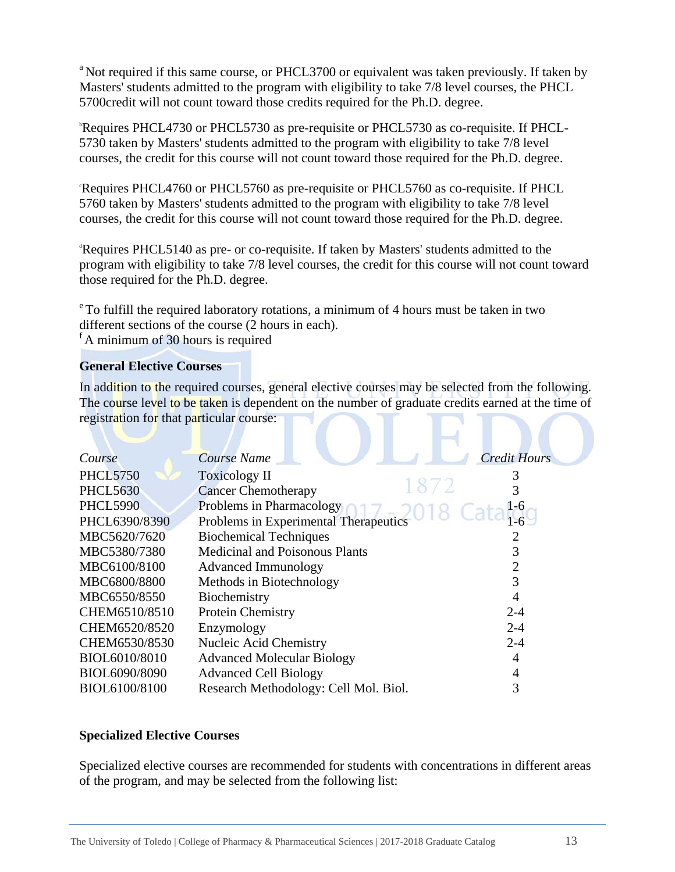<sup>a</sup> Not required if this same course, or PHCL3700 or equivalent was taken previously. If taken by Masters' students admitted to the program with eligibility to take 7/8 level courses, the PHCL 5700credit will not count toward those credits required for the Ph.D. degree.

<sup>b</sup>Requires PHCL4730 or PHCL5730 as pre-requisite or PHCL5730 as co-requisite. If PHCL-5730 taken by Masters' students admitted to the program with eligibility to take 7/8 level courses, the credit for this course will not count toward those required for the Ph.D. degree.

Requires PHCL4760 or PHCL5760 as pre-requisite or PHCL5760 as co-requisite. If PHCL 5760 taken by Masters' students admitted to the program with eligibility to take 7/8 level courses, the credit for this course will not count toward those required for the Ph.D. degree.

d Requires PHCL5140 as pre- or co-requisite. If taken by Masters' students admitted to the program with eligibility to take 7/8 level courses, the credit for this course will not count toward those required for the Ph.D. degree.

e To fulfill the required laboratory rotations, a minimum of 4 hours must be taken in two different sections of the course (2 hours in each).  $f_A$  minimum of 30 hours is required

#### **General Elective Courses**

In addition to the required courses, general elective courses may be selected from the following. The course level to be taken is dependent on the number of graduate credits earned at the time of registration for that particular course:

| Course          | Course Name                           | <b>Credit Hours</b> |
|-----------------|---------------------------------------|---------------------|
| <b>PHCL5750</b> | <b>Toxicology II</b>                  | 3                   |
| <b>PHCL5630</b> | 1872<br><b>Cancer Chemotherapy</b>    |                     |
| <b>PHCL5990</b> | Problems in Pharmacology              |                     |
| PHCL6390/8390   | Problems in Experimental Therapeutics |                     |
| MBC5620/7620    | <b>Biochemical Techniques</b>         |                     |
| MBC5380/7380    | <b>Medicinal and Poisonous Plants</b> | 3                   |
| MBC6100/8100    | <b>Advanced Immunology</b>            |                     |
| MBC6800/8800    | Methods in Biotechnology              | 3                   |
| MBC6550/8550    | Biochemistry                          | 4                   |
| CHEM6510/8510   | Protein Chemistry                     | $2 - 4$             |
| CHEM6520/8520   | Enzymology                            | $2 - 4$             |
| CHEM6530/8530   | Nucleic Acid Chemistry                | $2 - 4$             |
| BIOL6010/8010   | <b>Advanced Molecular Biology</b>     | 4                   |
| BIOL6090/8090   | <b>Advanced Cell Biology</b>          |                     |
| BIOL6100/8100   | Research Methodology: Cell Mol. Biol. | 3                   |

#### **Specialized Elective Courses**

Specialized elective courses are recommended for students with concentrations in different areas of the program, and may be selected from the following list: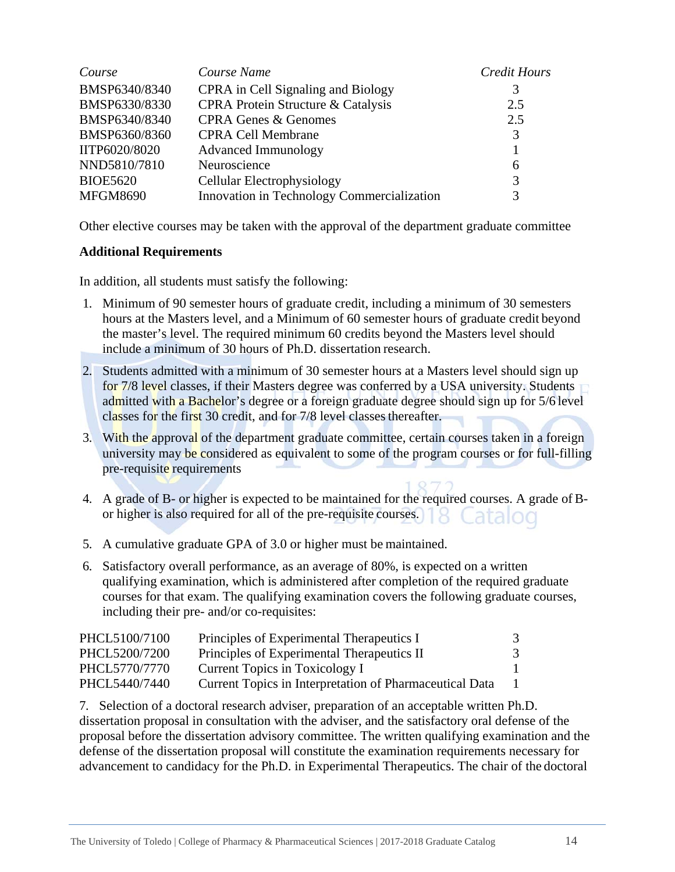| Course          | Course Name                                   | Credit Hours |
|-----------------|-----------------------------------------------|--------------|
| BMSP6340/8340   | CPRA in Cell Signaling and Biology            | 3            |
| BMSP6330/8330   | <b>CPRA Protein Structure &amp; Catalysis</b> | 2.5          |
| BMSP6340/8340   | <b>CPRA Genes &amp; Genomes</b>               | 2.5          |
| BMSP6360/8360   | <b>CPRA Cell Membrane</b>                     | 3            |
| IITP6020/8020   | <b>Advanced Immunology</b>                    |              |
| NND5810/7810    | Neuroscience                                  | 6            |
| <b>BIOE5620</b> | <b>Cellular Electrophysiology</b>             | 3            |
| <b>MFGM8690</b> | Innovation in Technology Commercialization    | 3            |

Other elective courses may be taken with the approval of the department graduate committee

#### **Additional Requirements**

In addition, all students must satisfy the following:

- 1. Minimum of 90 semester hours of graduate credit, including a minimum of 30 semesters hours at the Masters level, and a Minimum of 60 semester hours of graduate credit beyond the master's level. The required minimum 60 credits beyond the Masters level should include a minimum of 30 hours of Ph.D. dissertation research.
- 2. Students admitted with a minimum of 30 semester hours at a Masters level should sign up for 7/8 level classes, if their Masters degree was conferred by a USA university. Students admitted with a Bachelor's degree or a foreign graduate degree should sign up for 5/6 level classes for the first 30 credit, and for 7/8 level classes thereafter.
- 3. With the approval of the department graduate committee, certain courses taken in a foreign university may be considered as equivalent to some of the program courses or for full-filling pre-requisite requirements
- 4. A grade of B- or higher is expected to be maintained for the required courses. A grade of Bor higher is also required for all of the pre-requisite courses.
- 5. A cumulative graduate GPA of 3.0 or higher must be maintained.
- 6. Satisfactory overall performance, as an average of 80%, is expected on a written qualifying examination, which is administered after completion of the required graduate courses for that exam. The qualifying examination covers the following graduate courses, including their pre- and/or co-requisites:

| PHCL5100/7100 | Principles of Experimental Therapeutics I               |   |
|---------------|---------------------------------------------------------|---|
| PHCL5200/7200 | Principles of Experimental Therapeutics II              | 3 |
| PHCL5770/7770 | Current Topics in Toxicology I                          |   |
| PHCL5440/7440 | Current Topics in Interpretation of Pharmaceutical Data |   |

7. Selection of a doctoral research adviser, preparation of an acceptable written Ph.D. dissertation proposal in consultation with the adviser, and the satisfactory oral defense of the proposal before the dissertation advisory committee. The written qualifying examination and the defense of the dissertation proposal will constitute the examination requirements necessary for advancement to candidacy for the Ph.D. in Experimental Therapeutics. The chair of the doctoral